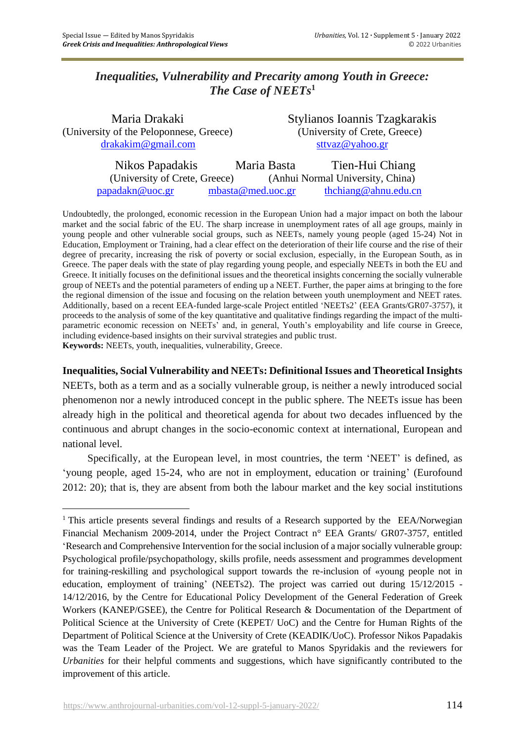# *Inequalities, Vulnerability and Precarity among Youth in Greece: The Case of NEETs***<sup>1</sup>**

| Maria Drakaki                           |                   | Stylianos Ioannis Tzagkarakis    |  |
|-----------------------------------------|-------------------|----------------------------------|--|
| (University of the Peloponnese, Greece) |                   | (University of Crete, Greece)    |  |
| drakalim@gmail.com                      |                   | sttvaz@yahoo.gr                  |  |
| Nikos Papadakis                         | Maria Basta       | Tien-Hui Chiang                  |  |
| (University of Crete, Greece)           |                   | (Anhui Normal University, China) |  |
| papadakn@uoc.gr                         | mbasta@med.uoc.gr | thchiang@ahnu.edu.cn             |  |

Undoubtedly, the prolonged, economic recession in the European Union had a major impact on both the labour market and the social fabric of the EU. The sharp increase in unemployment rates of all age groups, mainly in young people and other vulnerable social groups, such as NEETs, namely young people (aged 15-24) Not in Education, Employment or Training, had a clear effect on the deterioration of their life course and the rise of their degree of precarity, increasing the risk of poverty or social exclusion, especially, in the European South, as in Greece. The paper deals with the state of play regarding young people, and especially NEETs in both the EU and Greece. It initially focuses on the definitional issues and the theoretical insights concerning the socially vulnerable group of NEETs and the potential parameters of ending up a NEET. Further, the paper aims at bringing to the fore the regional dimension of the issue and focusing on the relation between youth unemployment and NEET rates. Additionally, based on a recent EEA-funded large-scale Project entitled 'NEETs2' (EEA Grants/GR07-3757), it proceeds to the analysis of some of the key quantitative and qualitative findings regarding the impact of the multiparametric economic recession on NEETs' and, in general, Youth's employability and life course in Greece, including evidence-based insights on their survival strategies and public trust. **Keywords:** NEETs, youth, inequalities, vulnerability, Greece.

#### **Inequalities, Social Vulnerability and NEETs: Definitional Issues and Theoretical Insights**

NEETs, both as a term and as a socially vulnerable group, is neither a newly introduced social phenomenon nor a newly introduced concept in the public sphere. The NEETs issue has been already high in the political and theoretical agenda for about two decades influenced by the continuous and abrupt changes in the socio-economic context at international, European and national level.

Specifically, at the European level, in most countries, the term 'NEET' is defined, as 'young people, aged 15-24, who are not in employment, education or training' (Eurofound 2012: 20); that is, they are absent from both the labour market and the key social institutions

<sup>&</sup>lt;sup>1</sup> This article presents several findings and results of a Research supported by the EEA/Norwegian Financial Mechanism 2009-2014, under the Project Contract n° EEA Grants/ GR07-3757, entitled 'Research and Comprehensive Intervention for the social inclusion of a major socially vulnerable group: Psychological profile/psychopathology, skills profile, needs assessment and programmes development for training-reskilling and psychological support towards the re-inclusion of «young people not in education, employment of training' (NEETs2). The project was carried out during 15/12/2015 - 14/12/2016, by the Centre for Educational Policy Development of the General Federation of Greek Workers (KANEP/GSEE), the Centre for Political Research & Documentation of the Department of Political Science at the University of Crete (KEPET/ UoC) and the Centre for Human Rights of the Department of Political Science at the University of Crete (KEADIK/UoC). Professor Nikos Papadakis was the Team Leader of the Project. We are grateful to Manos Spyridakis and the reviewers for *Urbanities* for their helpful comments and suggestions, which have significantly contributed to the improvement of this article.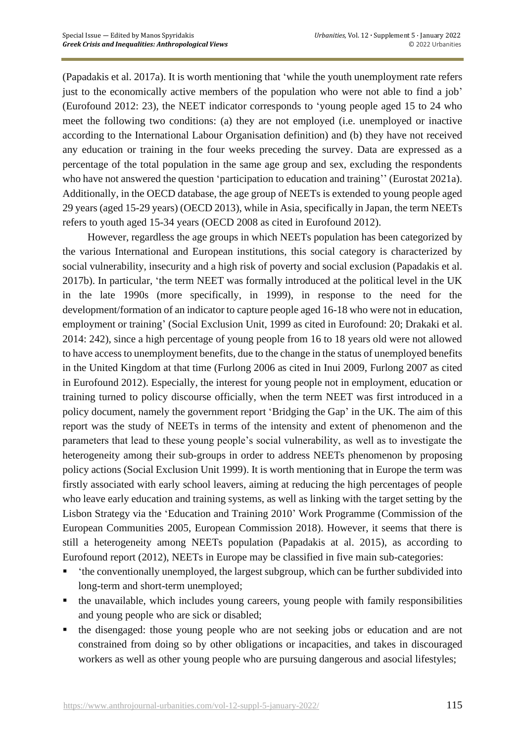(Papadakis et al. 2017a). It is worth mentioning that 'while the youth unemployment rate refers just to the economically active members of the population who were not able to find a job' (Eurofound 2012: 23), the NEET indicator corresponds to 'young people aged 15 to 24 who meet the following two conditions: (a) they are not employed (i.e. unemployed or inactive according to the International Labour Organisation definition) and (b) they have not received any education or training in the four weeks preceding the survey. Data are expressed as a percentage of the total population in the same age group and sex, excluding the respondents who have not answered the question 'participation to education and training'' (Eurostat 2021a). Additionally, in the OECD database, the age group of NEETs is extended to young people aged 29 years (aged 15-29 years) (OECD 2013), while in Asia, specifically in Japan, the term NEETs refers to youth aged 15-34 years (OECD 2008 as cited in Eurofound 2012).

However, regardless the age groups in which NEETs population has been categorized by the various International and European institutions, this social category is characterized by social vulnerability, insecurity and a high risk of poverty and social exclusion (Papadakis et al. 2017b). In particular, 'the term NEET was formally introduced at the political level in the UK in the late 1990s (more specifically, in 1999), in response to the need for the development/formation of an indicator to capture people aged 16-18 who were not in education, employment or training' (Social Exclusion Unit, 1999 as cited in Eurofound: 20; Drakaki et al. 2014: 242), since a high percentage of young people from 16 to 18 years old were not allowed to have access to unemployment benefits, due to the change in the status of unemployed benefits in the United Kingdom at that time (Furlong 2006 as cited in Inui 2009, Furlong 2007 as cited in Eurofound 2012). Especially, the interest for young people not in employment, education or training turned to policy discourse officially, when the term NEET was first introduced in a policy document, namely the government report 'Bridging the Gap' in the UK. The aim of this report was the study of NEETs in terms of the intensity and extent of phenomenon and the parameters that lead to these young people's social vulnerability, as well as to investigate the heterogeneity among their sub-groups in order to address NEETs phenomenon by proposing policy actions (Social Exclusion Unit 1999). It is worth mentioning that in Europe the term was firstly associated with early school leavers, aiming at reducing the high percentages of people who leave early education and training systems, as well as linking with the target setting by the Lisbon Strategy via the 'Education and Training 2010' Work Programme (Commission of the European Communities 2005, European Commission 2018). However, it seems that there is still a heterogeneity among NEETs population (Papadakis at al. 2015), as according to Eurofound report (2012), NEETs in Europe may be classified in five main sub-categories:

- the conventionally unemployed, the largest subgroup, which can be further subdivided into long-term and short-term unemployed;
- the unavailable, which includes young careers, young people with family responsibilities and young people who are sick or disabled;
- the disengaged: those young people who are not seeking jobs or education and are not constrained from doing so by other obligations or incapacities, and takes in discouraged workers as well as other young people who are pursuing dangerous and asocial lifestyles;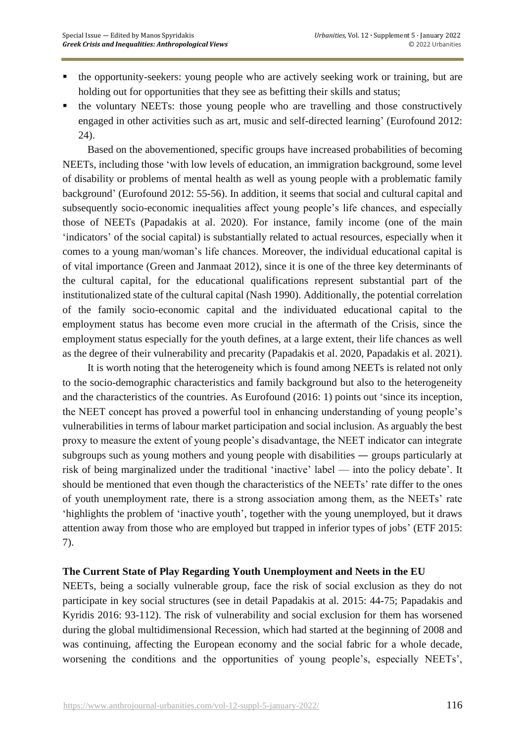- the opportunity-seekers: young people who are actively seeking work or training, but are holding out for opportunities that they see as befitting their skills and status;
- the voluntary NEETs: those young people who are travelling and those constructively engaged in other activities such as art, music and self-directed learning' (Eurofound 2012: 24).

Based on the abovementioned, specific groups have increased probabilities of becoming NEETs, including those 'with low levels of education, an immigration background, some level of disability or problems of mental health as well as young people with a problematic family background' (Eurofound 2012: 55-56). In addition, it seems that social and cultural capital and subsequently socio-economic inequalities affect young people's life chances, and especially those of NEETs (Papadakis at al. 2020). For instance, family income (one of the main 'indicators' of the social capital) is substantially related to actual resources, especially when it comes to a young man/woman's life chances. Moreover, the individual educational capital is of vital importance (Green and Janmaat 2012), since it is one of the three key determinants of the cultural capital, for the educational qualifications represent substantial part of the institutionalized state of the cultural capital (Nash 1990). Additionally, the potential correlation of the family socio-economic capital and the individuated educational capital to the employment status has become even more crucial in the aftermath of the Crisis, since the employment status especially for the youth defines, at a large extent, their life chances as well as the degree of their vulnerability and precarity (Papadakis et al. 2020, Papadakis et al. 2021).

It is worth noting that the heterogeneity which is found among NEETs is related not only to the socio-demographic characteristics and family background but also to the heterogeneity and the characteristics of the countries. As Eurofound (2016: 1) points out 'since its inception, the NEET concept has proved a powerful tool in enhancing understanding of young people's vulnerabilities in terms of labour market participation and social inclusion. As arguably the best proxy to measure the extent of young people's disadvantage, the NEET indicator can integrate subgroups such as young mothers and young people with disabilities — groups particularly at risk of being marginalized under the traditional 'inactive' label — into the policy debate'. It should be mentioned that even though the characteristics of the NEETs' rate differ to the ones of youth unemployment rate, there is a strong association among them, as the NEETs' rate 'highlights the problem of 'inactive youth', together with the young unemployed, but it draws attention away from those who are employed but trapped in inferior types of jobs' (ETF 2015: 7).

## **The Current State of Play Regarding Youth Unemployment and Neets in the EU**

NEETs, being a socially vulnerable group, face the risk of social exclusion as they do not participate in key social structures (see in detail Papadakis at al. 2015: 44-75; Papadakis and Kyridis 2016: 93-112). The risk of vulnerability and social exclusion for them has worsened during the global multidimensional Recession, which had started at the beginning of 2008 and was continuing, affecting the European economy and the social fabric for a whole decade, worsening the conditions and the opportunities of young people's, especially NEETs',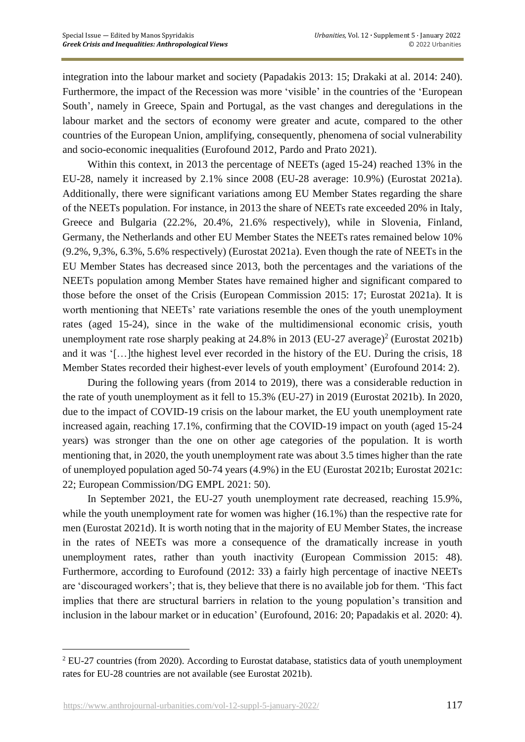integration into the labour market and society (Papadakis 2013: 15; Drakaki at al. 2014: 240). Furthermore, the impact of the Recession was more 'visible' in the countries of the 'European South', namely in Greece, Spain and Portugal, as the vast changes and deregulations in the labour market and the sectors of economy were greater and acute, compared to the other countries of the European Union, amplifying, consequently, phenomena of social vulnerability and socio-economic inequalities (Eurofound 2012, Pardo and Prato 2021).

Within this context, in 2013 the percentage of NEETs (aged 15-24) reached 13% in the EU-28, namely it increased by 2.1% since 2008 (EU-28 average: 10.9%) (Eurostat 2021a). Additionally, there were significant variations among EU Member States regarding the share of the NEETs population. For instance, in 2013 the share of NEETs rate exceeded 20% in Italy, Greece and Bulgaria (22.2%, 20.4%, 21.6% respectively), while in Slovenia, Finland, Germany, the Netherlands and other EU Member States the NEETs rates remained below 10% (9.2%, 9,3%, 6.3%, 5.6% respectively) (Eurostat 2021a). Even though the rate of NEETs in the EU Member States has decreased since 2013, both the percentages and the variations of the NEETs population among Member States have remained higher and significant compared to those before the onset of the Crisis (European Commission 2015: 17; Eurostat 2021a). It is worth mentioning that NEETs' rate variations resemble the ones of the youth unemployment rates (aged 15-24), since in the wake of the multidimensional economic crisis, youth unemployment rate rose sharply peaking at  $24.8\%$  in  $2013$  (EU-27 average)<sup>2</sup> (Eurostat 2021b) and it was '[…]the highest level ever recorded in the history of the EU. During the crisis, 18 Member States recorded their highest-ever levels of youth employment' (Eurofound 2014: 2).

During the following years (from 2014 to 2019), there was a considerable reduction in the rate of youth unemployment as it fell to 15.3% (EU-27) in 2019 (Eurostat 2021b). In 2020, due to the impact of COVID-19 crisis on the labour market, the EU youth unemployment rate increased again, reaching 17.1%, confirming that the COVID-19 impact on youth (aged 15-24 years) was stronger than the one on other age categories of the population. It is worth mentioning that, in 2020, the youth unemployment rate was about 3.5 times higher than the rate of unemployed population aged 50-74 years (4.9%) in the EU (Eurostat 2021b; Eurostat 2021c: 22; European Commission/DG EMPL 2021: 50).

In September 2021, the EU-27 youth unemployment rate decreased, reaching 15.9%, while the youth unemployment rate for women was higher (16.1%) than the respective rate for men (Eurostat 2021d). It is worth noting that in the majority of EU Member States, the increase in the rates of NEETs was more a consequence of the dramatically increase in youth unemployment rates, rather than youth inactivity (European Commission 2015: 48). Furthermore, according to Eurofound (2012: 33) a fairly high percentage of inactive NEETs are 'discouraged workers'; that is, they believe that there is no available job for them. 'This fact implies that there are structural barriers in relation to the young population's transition and inclusion in the labour market or in education' (Eurofound, 2016: 20; Papadakis et al. 2020: 4).

 $2$  EU-27 countries (from 2020). According to Eurostat database, statistics data of youth unemployment rates for EU-28 countries are not available (see Eurostat 2021b).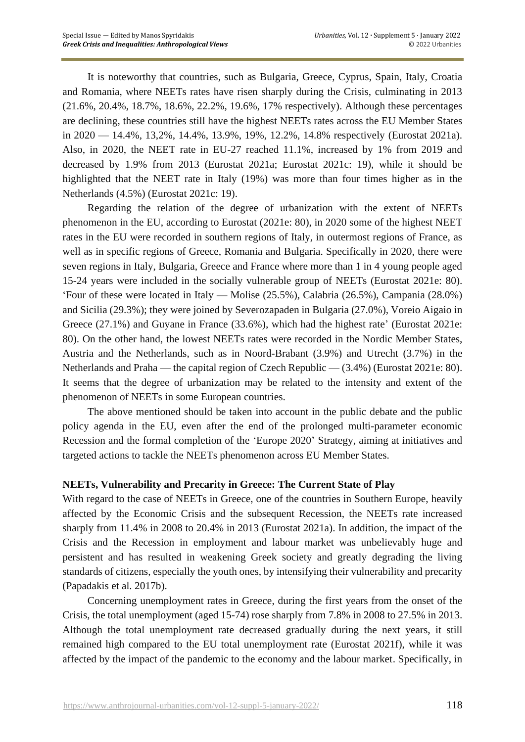It is noteworthy that countries, such as Bulgaria, Greece, Cyprus, Spain, Italy, Croatia and Romania, where NEETs rates have risen sharply during the Crisis, culminating in 2013 (21.6%, 20.4%, 18.7%, 18.6%, 22.2%, 19.6%, 17% respectively). Although these percentages are declining, these countries still have the highest NEETs rates across the EU Member States in 2020 — 14.4%, 13,2%, 14.4%, 13.9%, 19%, 12.2%, 14.8% respectively (Eurostat 2021a). Also, in 2020, the NEET rate in EU-27 reached 11.1%, increased by 1% from 2019 and decreased by 1.9% from 2013 (Eurostat 2021a; Eurostat 2021c: 19), while it should be highlighted that the NEET rate in Italy (19%) was more than four times higher as in the Netherlands (4.5%) (Eurostat 2021c: 19).

Regarding the relation of the degree of urbanization with the extent of NEETs phenomenon in the EU, according to Eurostat (2021e: 80), in 2020 some of the highest NEET rates in the EU were recorded in southern regions of Italy, in outermost regions of France, as well as in specific regions of Greece, Romania and Bulgaria. Specifically in 2020, there were seven regions in Italy, Bulgaria, Greece and France where more than 1 in 4 young people aged 15-24 years were included in the socially vulnerable group of NEETs (Eurostat 2021e: 80). 'Four of these were located in Italy — Molise (25.5%), Calabria (26.5%), Campania (28.0%) and Sicilia (29.3%); they were joined by Severozapaden in Bulgaria (27.0%), Voreio Aigaio in Greece (27.1%) and Guyane in France (33.6%), which had the highest rate' (Eurostat 2021e: 80). On the other hand, the lowest NEETs rates were recorded in the Nordic Member States, Austria and the Netherlands, such as in Noord-Brabant (3.9%) and Utrecht (3.7%) in the Netherlands and Praha — the capital region of Czech Republic — (3.4%) (Eurostat 2021e: 80). It seems that the degree of urbanization may be related to the intensity and extent of the phenomenon of NEETs in some European countries.

The above mentioned should be taken into account in the public debate and the public policy agenda in the EU, even after the end of the prolonged multi-parameter economic Recession and the formal completion of the 'Europe 2020' Strategy, aiming at initiatives and targeted actions to tackle the NEETs phenomenon across EU Member States.

## **NEETs, Vulnerability and Precarity in Greece: The Current State of Play**

With regard to the case of NEETs in Greece, one of the countries in Southern Europe, heavily affected by the Economic Crisis and the subsequent Recession, the NEETs rate increased sharply from 11.4% in 2008 to 20.4% in 2013 (Eurostat 2021a). In addition, the impact of the Crisis and the Recession in employment and labour market was unbelievably huge and persistent and has resulted in weakening Greek society and greatly degrading the living standards of citizens, especially the youth ones, by intensifying their vulnerability and precarity (Papadakis et al. 2017b).

Concerning unemployment rates in Greece, during the first years from the onset of the Crisis, the total unemployment (aged 15-74) rose sharply from 7.8% in 2008 to 27.5% in 2013. Although the total unemployment rate decreased gradually during the next years, it still remained high compared to the EU total unemployment rate (Eurostat 2021f), while it was affected by the impact of the pandemic to the economy and the labour market. Specifically, in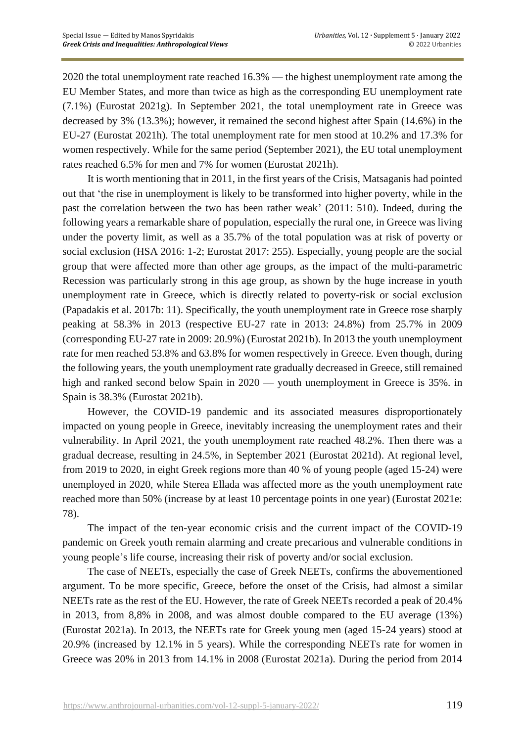2020 the total unemployment rate reached 16.3% — the highest unemployment rate among the EU Member States, and more than twice as high as the corresponding EU unemployment rate (7.1%) (Eurostat 2021g). In September 2021, the total unemployment rate in Greece was decreased by 3% (13.3%); however, it remained the second highest after Spain (14.6%) in the EU-27 (Eurostat 2021h). The total unemployment rate for men stood at 10.2% and 17.3% for women respectively. While for the same period (September 2021), the EU total unemployment rates reached 6.5% for men and 7% for women (Eurostat 2021h).

It is worth mentioning that in 2011, in the first years of the Crisis, Matsaganis had pointed out that 'the rise in unemployment is likely to be transformed into higher poverty, while in the past the correlation between the two has been rather weak' (2011: 510). Indeed, during the following years a remarkable share of population, especially the rural one, in Greece was living under the poverty limit, as well as a 35.7% of the total population was at risk of poverty or social exclusion (HSA 2016: 1-2; Eurostat 2017: 255). Especially, young people are the social group that were affected more than other age groups, as the impact of the multi-parametric Recession was particularly strong in this age group, as shown by the huge increase in youth unemployment rate in Greece, which is directly related to poverty-risk or social exclusion (Papadakis et al. 2017b: 11). Specifically, the youth unemployment rate in Greece rose sharply peaking at 58.3% in 2013 (respective EU-27 rate in 2013: 24.8%) from 25.7% in 2009 (corresponding EU-27 rate in 2009: 20.9%) (Eurostat 2021b). In 2013 the youth unemployment rate for men reached 53.8% and 63.8% for women respectively in Greece. Even though, during the following years, the youth unemployment rate gradually decreased in Greece, still remained high and ranked second below Spain in 2020 — youth unemployment in Greece is 35%. in Spain is 38.3% (Eurostat 2021b).

However, the COVID-19 pandemic and its associated measures disproportionately impacted on young people in Greece, inevitably increasing the unemployment rates and their vulnerability. In April 2021, the youth unemployment rate reached 48.2%. Then there was a gradual decrease, resulting in 24.5%, in September 2021 (Eurostat 2021d). At regional level, from 2019 to 2020, in eight Greek regions more than 40 % of young people (aged 15-24) were unemployed in 2020, while Sterea Ellada was affected more as the youth unemployment rate reached more than 50% (increase by at least 10 percentage points in one year) (Eurostat 2021e: 78).

The impact of the ten-year economic crisis and the current impact of the COVID-19 pandemic on Greek youth remain alarming and create precarious and vulnerable conditions in young people's life course, increasing their risk of poverty and/or social exclusion.

The case of NEETs, especially the case of Greek NEETs, confirms the abovementioned argument. To be more specific, Greece, before the onset of the Crisis, had almost a similar NEETs rate as the rest of the EU. However, the rate of Greek NEETs recorded a peak of 20.4% in 2013, from 8,8% in 2008, and was almost double compared to the EU average (13%) (Eurostat 2021a). In 2013, the NEETs rate for Greek young men (aged 15-24 years) stood at 20.9% (increased by 12.1% in 5 years). While the corresponding NEETs rate for women in Greece was 20% in 2013 from 14.1% in 2008 (Eurostat 2021a). During the period from 2014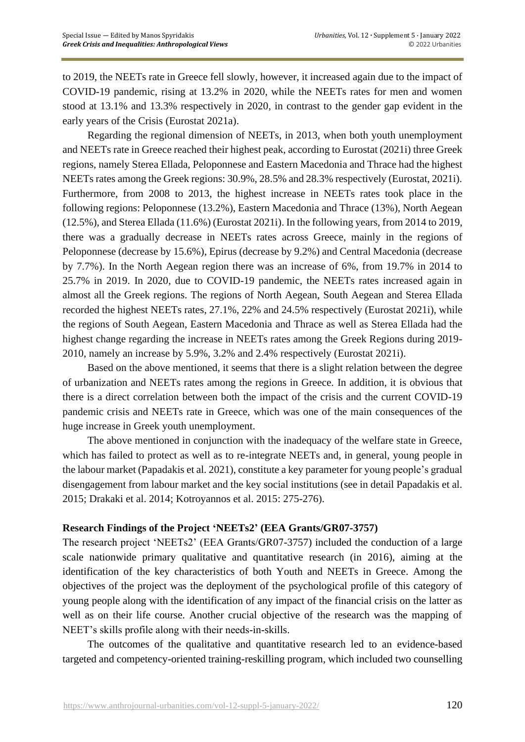to 2019, the NEETs rate in Greece fell slowly, however, it increased again due to the impact of COVID-19 pandemic, rising at 13.2% in 2020, while the NEETs rates for men and women stood at 13.1% and 13.3% respectively in 2020, in contrast to the gender gap evident in the early years of the Crisis (Eurostat 2021a).

Regarding the regional dimension of NEETs, in 2013, when both youth unemployment and NEETs rate in Greece reached their highest peak, according to Eurostat (2021i) three Greek regions, namely Sterea Ellada, Peloponnese and Eastern Macedonia and Thrace had the highest NEETs rates among the Greek regions: 30.9%, 28.5% and 28.3% respectively (Eurostat, 2021i). Furthermore, from 2008 to 2013, the highest increase in NEETs rates took place in the following regions: Peloponnese (13.2%), Eastern Macedonia and Thrace (13%), North Aegean (12.5%), and Sterea Ellada (11.6%) (Eurostat 2021i). In the following years, from 2014 to 2019, there was a gradually decrease in NEETs rates across Greece, mainly in the regions of Peloponnese (decrease by 15.6%), Epirus (decrease by 9.2%) and Central Macedonia (decrease by 7.7%). In the North Aegean region there was an increase of 6%, from 19.7% in 2014 to 25.7% in 2019. In 2020, due to COVID-19 pandemic, the NEETs rates increased again in almost all the Greek regions. The regions of North Aegean, South Aegean and Sterea Ellada recorded the highest NEETs rates, 27.1%, 22% and 24.5% respectively (Eurostat 2021i), while the regions of South Aegean, Eastern Macedonia and Thrace as well as Sterea Ellada had the highest change regarding the increase in NEETs rates among the Greek Regions during 2019- 2010, namely an increase by 5.9%, 3.2% and 2.4% respectively (Eurostat 2021i).

Based on the above mentioned, it seems that there is a slight relation between the degree of urbanization and NEETs rates among the regions in Greece. In addition, it is obvious that there is a direct correlation between both the impact of the crisis and the current COVID-19 pandemic crisis and NEETs rate in Greece, which was one of the main consequences of the huge increase in Greek youth unemployment.

The above mentioned in conjunction with the inadequacy of the welfare state in Greece, which has failed to protect as well as to re-integrate NEETs and, in general, young people in the labour market (Papadakis et al. 2021), constitute a key parameter for young people's gradual disengagement from labour market and the key social institutions (see in detail Papadakis et al. 2015; Drakaki et al. 2014; Kotroyannos et al. 2015: 275-276).

## **Research Findings of the Project 'NEETs2' (EEA Grants/GR07-3757)**

The research project 'NEETs2' (EEA Grants/GR07-3757) included the conduction of a large scale nationwide primary qualitative and quantitative research (in 2016), aiming at the identification of the key characteristics of both Youth and NEETs in Greece. Among the objectives of the project was the deployment of the psychological profile of this category of young people along with the identification of any impact of the financial crisis on the latter as well as on their life course. Another crucial objective of the research was the mapping of NEET's skills profile along with their needs-in-skills.

The outcomes of the qualitative and quantitative research led to an evidence-based targeted and competency-oriented training-reskilling program, which included two counselling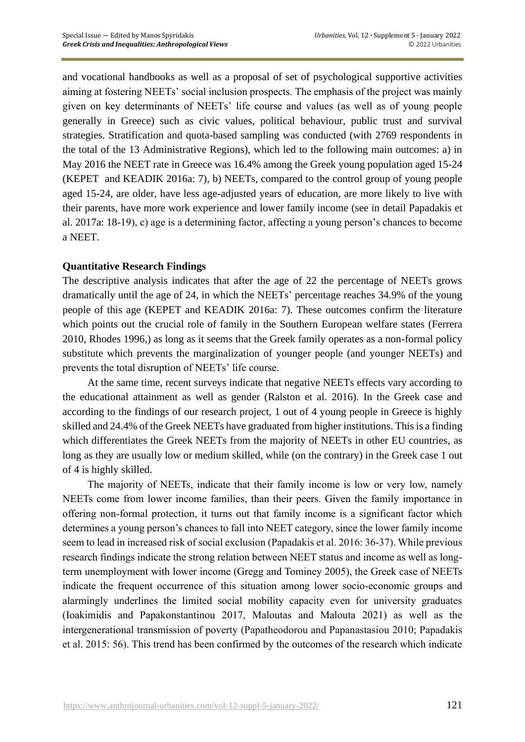and vocational handbooks as well as a proposal of set of psychological supportive activities aiming at fostering NEETs' social inclusion prospects. The emphasis of the project was mainly given on key determinants of NEETs' life course and values (as well as of young people generally in Greece) such as civic values, political behaviour, public trust and survival strategies. Stratification and quota-based sampling was conducted (with 2769 respondents in the total of the 13 Administrative Regions), which led to the following main outcomes: a) in May 2016 the NEET rate in Greece was 16.4% among the Greek young population aged 15-24 (KEPET and KEADIK 2016a: 7), b) NEETs, compared to the control group of young people aged 15-24, are older, have less age-adjusted years of education, are more likely to live with their parents, have more work experience and lower family income (see in detail Papadakis et al. 2017a: 18-19), c) age is a determining factor, affecting a young person's chances to become a NEET.

#### **Quantitative Research Findings**

The descriptive analysis indicates that after the age of 22 the percentage of NEETs grows dramatically until the age of 24, in which the NEETs' percentage reaches 34.9% of the young people of this age (KEPET and KEADIK 2016a: 7). These outcomes confirm the literature which points out the crucial role of family in the Southern European welfare states (Ferrera 2010, Rhodes 1996,) as long as it seems that the Greek family operates as a non-formal policy substitute which prevents the marginalization of younger people (and younger NEETs) and prevents the total disruption of NEETs' life course.

At the same time, recent surveys indicate that negative NEETs effects vary according to the educational attainment as well as gender (Ralston et al. 2016). In the Greek case and according to the findings of our research project, 1 out of 4 young people in Greece is highly skilled and 24.4% of the Greek NEETs have graduated from higher institutions. This is a finding which differentiates the Greek NEETs from the majority of NEETs in other EU countries, as long as they are usually low or medium skilled, while (on the contrary) in the Greek case 1 out of 4 is highly skilled.

The majority of NEETs, indicate that their family income is low or very low, namely NEETs come from lower income families, than their peers. Given the family importance in offering non-formal protection, it turns out that family income is a significant factor which determines a young person's chances to fall into NEET category, since the lower family income seem to lead in increased risk of social exclusion (Papadakis et al. 2016: 36-37). While previous research findings indicate the strong relation between NEET status and income as well as longterm unemployment with lower income (Gregg and Tominey 2005), the Greek case of NEETs indicate the frequent occurrence of this situation among lower socio-economic groups and alarmingly underlines the limited social mobility capacity even for university graduates (Ioakimidis and Papakonstantinou 2017, Maloutas and Malouta 2021) as well as the intergenerational transmission of poverty (Papatheodorou and Papanastasiou 2010; Papadakis et al. 2015: 56). This trend has been confirmed by the outcomes of the research which indicate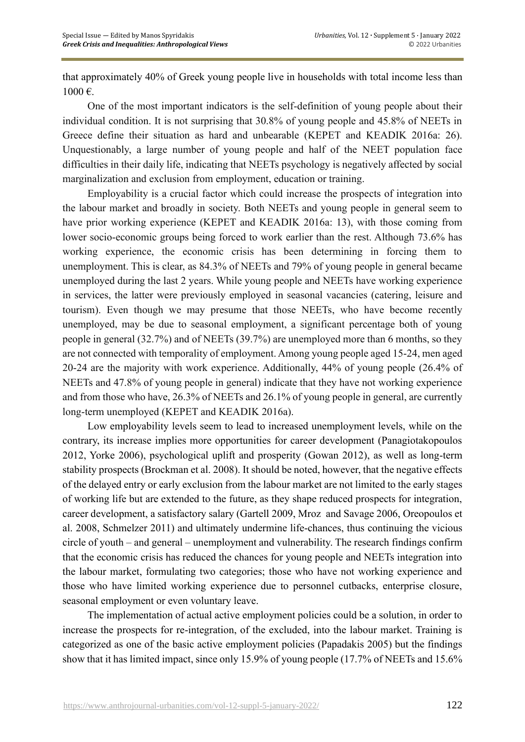that approximately 40% of Greek young people live in households with total income less than 1000 €.

One of the most important indicators is the self-definition of young people about their individual condition. It is not surprising that 30.8% of young people and 45.8% of NEETs in Greece define their situation as hard and unbearable (KEPET and KEADIK 2016a: 26). Unquestionably, a large number of young people and half of the NEET population face difficulties in their daily life, indicating that NEETs psychology is negatively affected by social marginalization and exclusion from employment, education or training.

Employability is a crucial factor which could increase the prospects of integration into the labour market and broadly in society. Both NEETs and young people in general seem to have prior working experience (KEPET and KEADIK 2016a: 13), with those coming from lower socio-economic groups being forced to work earlier than the rest. Although 73.6% has working experience, the economic crisis has been determining in forcing them to unemployment. This is clear, as 84.3% of NEETs and 79% of young people in general became unemployed during the last 2 years. While young people and NEETs have working experience in services, the latter were previously employed in seasonal vacancies (catering, leisure and tourism). Even though we may presume that those NEETs, who have become recently unemployed, may be due to seasonal employment, a significant percentage both of young people in general (32.7%) and of NEETs (39.7%) are unemployed more than 6 months, so they are not connected with temporality of employment. Among young people aged 15-24, men aged 20-24 are the majority with work experience. Additionally, 44% of young people (26.4% of NEETs and 47.8% of young people in general) indicate that they have not working experience and from those who have, 26.3% of NEETs and 26.1% of young people in general, are currently long-term unemployed (KEPET and KEADIK 2016a).

Low employability levels seem to lead to increased unemployment levels, while on the contrary, its increase implies more opportunities for career development (Panagiotakopoulos 2012, Yorke 2006), psychological uplift and prosperity (Gowan 2012), as well as long-term stability prospects (Brockman et al. 2008). It should be noted, however, that the negative effects of the delayed entry or early exclusion from the labour market are not limited to the early stages of working life but are extended to the future, as they shape reduced prospects for integration, career development, a satisfactory salary (Gartell 2009, Mroz and Savage 2006, Oreopoulos et al. 2008, Schmelzer 2011) and ultimately undermine life-chances, thus continuing the vicious circle of youth – and general – unemployment and vulnerability. The research findings confirm that the economic crisis has reduced the chances for young people and NEETs integration into the labour market, formulating two categories; those who have not working experience and those who have limited working experience due to personnel cutbacks, enterprise closure, seasonal employment or even voluntary leave.

The implementation of actual active employment policies could be a solution, in order to increase the prospects for re-integration, of the excluded, into the labour market. Training is categorized as one of the basic active employment policies (Papadakis 2005) but the findings show that it has limited impact, since only 15.9% of young people (17.7% of NEETs and 15.6%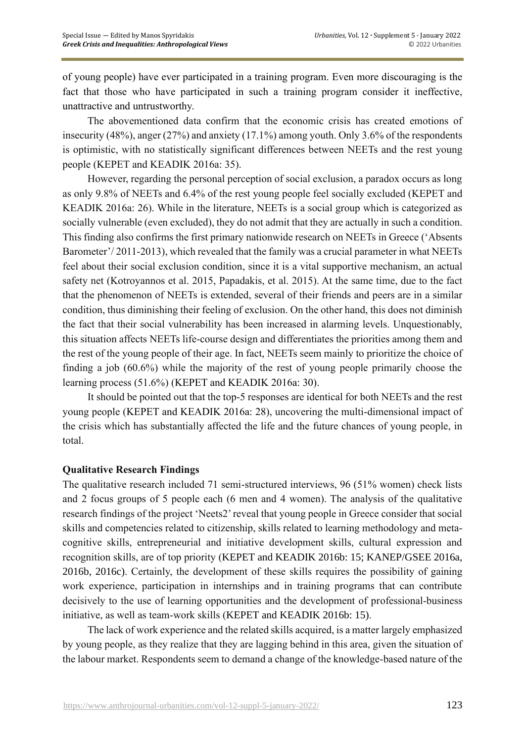of young people) have ever participated in a training program. Even more discouraging is the fact that those who have participated in such a training program consider it ineffective, unattractive and untrustworthy.

The abovementioned data confirm that the economic crisis has created emotions of insecurity (48%), anger (27%) and anxiety (17.1%) among youth. Only 3.6% of the respondents is optimistic, with no statistically significant differences between NEETs and the rest young people (KEPET and KEADIK 2016a: 35).

However, regarding the personal perception of social exclusion, a paradox occurs as long as only 9.8% of NEETs and 6.4% of the rest young people feel socially excluded (KEPET and KEADIK 2016a: 26). While in the literature, NEETs is a social group which is categorized as socially vulnerable (even excluded), they do not admit that they are actually in such a condition. This finding also confirms the first primary nationwide research on NEETs in Greece ('Absents Barometer'/2011-2013), which revealed that the family was a crucial parameter in what NEETs feel about their social exclusion condition, since it is a vital supportive mechanism, an actual safety net (Kotroyannos et al. 2015, Papadakis, et al. 2015). At the same time, due to the fact that the phenomenon of NEETs is extended, several of their friends and peers are in a similar condition, thus diminishing their feeling of exclusion. On the other hand, this does not diminish the fact that their social vulnerability has been increased in alarming levels. Unquestionably, this situation affects NEETs life-course design and differentiates the priorities among them and the rest of the young people of their age. In fact, NEETs seem mainly to prioritize the choice of finding a job (60.6%) while the majority of the rest of young people primarily choose the learning process (51.6%) (KEPET and KEADIK 2016a: 30).

It should be pointed out that the top-5 responses are identical for both NEETs and the rest young people (KEPET and KEADIK 2016a: 28), uncovering the multi-dimensional impact of the crisis which has substantially affected the life and the future chances of young people, in total.

## **Qualitative Research Findings**

The qualitative research included 71 semi-structured interviews, 96 (51% women) check lists and 2 focus groups of 5 people each (6 men and 4 women). The analysis of the qualitative research findings of the project 'Neets2'reveal that young people in Greece consider that social skills and competencies related to citizenship, skills related to learning methodology and metacognitive skills, entrepreneurial and initiative development skills, cultural expression and recognition skills, are of top priority (KEPET and KEADIK 2016b: 15; KANEP/GSEE 2016a, 2016b, 2016c). Certainly, the development of these skills requires the possibility of gaining work experience, participation in internships and in training programs that can contribute decisively to the use of learning opportunities and the development of professional-business initiative, as well as team-work skills (KEPET and KEADIK 2016b: 15).

The lack of work experience and the related skills acquired, is a matter largely emphasized by young people, as they realize that they are lagging behind in this area, given the situation of the labour market. Respondents seem to demand a change of the knowledge-based nature of the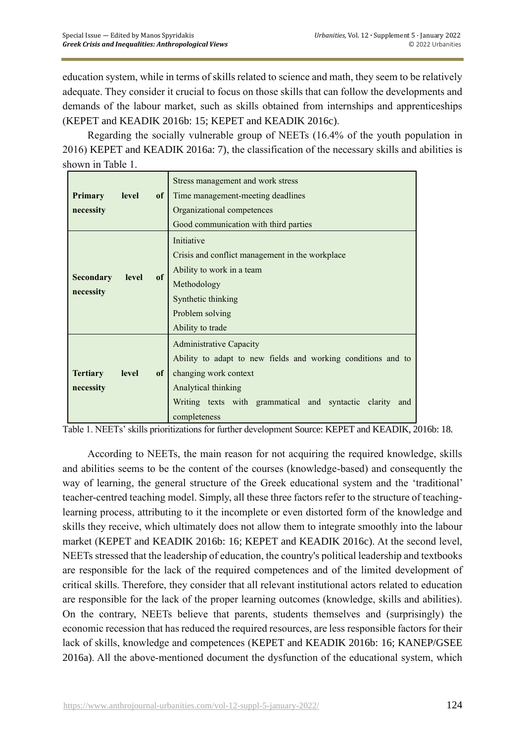education system, while in terms of skills related to science and math, they seem to be relatively adequate. They consider it crucial to focus on those skills that can follow the developments and demands of the labour market, such as skills obtained from internships and apprenticeships (KEPET and KEADIK 2016b: 15; KEPET and KEADIK 2016c).

Regarding the socially vulnerable group of NEETs (16.4% of the youth population in 2016) KEPET and KEADIK 2016a: 7), the classification of the necessary skills and abilities is shown in Table 1.

|                                        |       |                                                 | Stress management and work stress                            |  |
|----------------------------------------|-------|-------------------------------------------------|--------------------------------------------------------------|--|
| Primary                                | level | of                                              | Time management-meeting deadlines                            |  |
| necessity                              |       |                                                 | Organizational competences                                   |  |
|                                        |       |                                                 | Good communication with third parties                        |  |
| <b>Secondary</b><br>level<br>necessity |       | Initiative                                      |                                                              |  |
|                                        |       | Crisis and conflict management in the workplace |                                                              |  |
|                                        |       | Ability to work in a team                       |                                                              |  |
|                                        | of    | Methodology                                     |                                                              |  |
|                                        |       |                                                 | Synthetic thinking                                           |  |
|                                        |       |                                                 | Problem solving                                              |  |
|                                        |       | Ability to trade                                |                                                              |  |
|                                        |       | <b>Administrative Capacity</b>                  |                                                              |  |
|                                        |       |                                                 | Ability to adapt to new fields and working conditions and to |  |
| <b>Tertiary</b>                        | level | of                                              | changing work context                                        |  |
| necessity                              |       |                                                 | Analytical thinking                                          |  |
|                                        |       |                                                 | Writing texts with grammatical and syntactic clarity<br>and  |  |
|                                        |       |                                                 | completeness                                                 |  |

Table 1. NEETs' skills prioritizations for further development Source: KEPET and KEADIK, 2016b: 18.

According to NEETs, the main reason for not acquiring the required knowledge, skills and abilities seems to be the content of the courses (knowledge-based) and consequently the way of learning, the general structure of the Greek educational system and the 'traditional' teacher-centred teaching model. Simply, all these three factors refer to the structure of teachinglearning process, attributing to it the incomplete or even distorted form of the knowledge and skills they receive, which ultimately does not allow them to integrate smoothly into the labour market (KEPET and KEADIK 2016b: 16; KEPET and KEADIK 2016c). At the second level, NEETs stressed that the leadership of education, the country's political leadership and textbooks are responsible for the lack of the required competences and of the limited development of critical skills. Therefore, they consider that all relevant institutional actors related to education are responsible for the lack of the proper learning outcomes (knowledge, skills and abilities). On the contrary, NEETs believe that parents, students themselves and (surprisingly) the economic recession that has reduced the required resources, are less responsible factors for their lack of skills, knowledge and competences (KEPET and KEADIK 2016b: 16; KANEP/GSEE 2016a). All the above-mentioned document the dysfunction of the educational system, which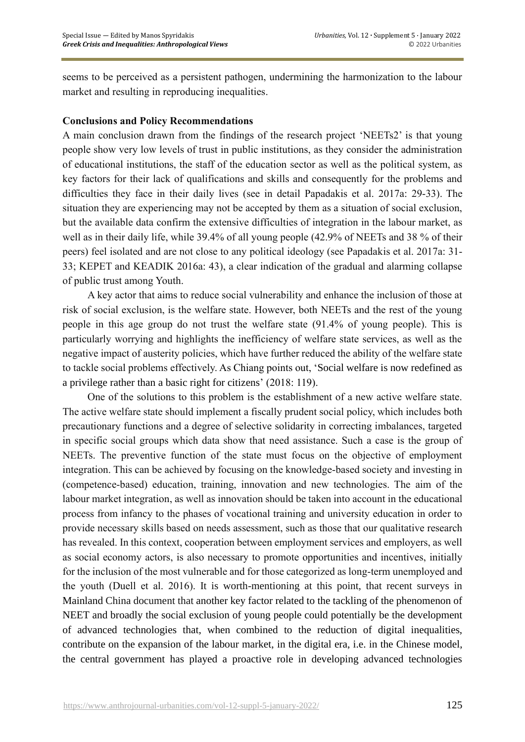seems to be perceived as a persistent pathogen, undermining the harmonization to the labour market and resulting in reproducing inequalities.

#### **Conclusions and Policy Recommendations**

A main conclusion drawn from the findings of the research project 'NEETs2' is that young people show very low levels of trust in public institutions, as they consider the administration of educational institutions, the staff of the education sector as well as the political system, as key factors for their lack of qualifications and skills and consequently for the problems and difficulties they face in their daily lives (see in detail Papadakis et al. 2017a: 29-33). The situation they are experiencing may not be accepted by them as a situation of social exclusion, but the available data confirm the extensive difficulties of integration in the labour market, as well as in their daily life, while 39.4% of all young people (42.9% of NEETs and 38 % of their peers) feel isolated and are not close to any political ideology (see Papadakis et al. 2017a: 31- 33; KEPET and KEADIK 2016a: 43), a clear indication of the gradual and alarming collapse of public trust among Youth.

A key actor that aims to reduce social vulnerability and enhance the inclusion of those at risk of social exclusion, is the welfare state. However, both NEETs and the rest of the young people in this age group do not trust the welfare state (91.4% of young people). This is particularly worrying and highlights the inefficiency of welfare state services, as well as the negative impact of austerity policies, which have further reduced the ability of the welfare state to tackle social problems effectively. As Chiang points out, 'Social welfare is now redefined as a privilege rather than a basic right for citizens' (2018: 119).

One of the solutions to this problem is the establishment of a new active welfare state. The active welfare state should implement a fiscally prudent social policy, which includes both precautionary functions and a degree of selective solidarity in correcting imbalances, targeted in specific social groups which data show that need assistance. Such a case is the group of NEETs. The preventive function of the state must focus on the objective of employment integration. This can be achieved by focusing on the knowledge-based society and investing in (competence-based) education, training, innovation and new technologies. The aim of the labour market integration, as well as innovation should be taken into account in the educational process from infancy to the phases of vocational training and university education in order to provide necessary skills based on needs assessment, such as those that our qualitative research has revealed. In this context, cooperation between employment services and employers, as well as social economy actors, is also necessary to promote opportunities and incentives, initially for the inclusion of the most vulnerable and for those categorized as long-term unemployed and the youth (Duell et al. 2016). It is worth-mentioning at this point, that recent surveys in Mainland China document that another key factor related to the tackling of the phenomenon of NEET and broadly the social exclusion of young people could potentially be the development of advanced technologies that, when combined to the reduction of digital inequalities, contribute on the expansion of the labour market, in the digital era, i.e. in the Chinese model, the central government has played a proactive role in developing advanced technologies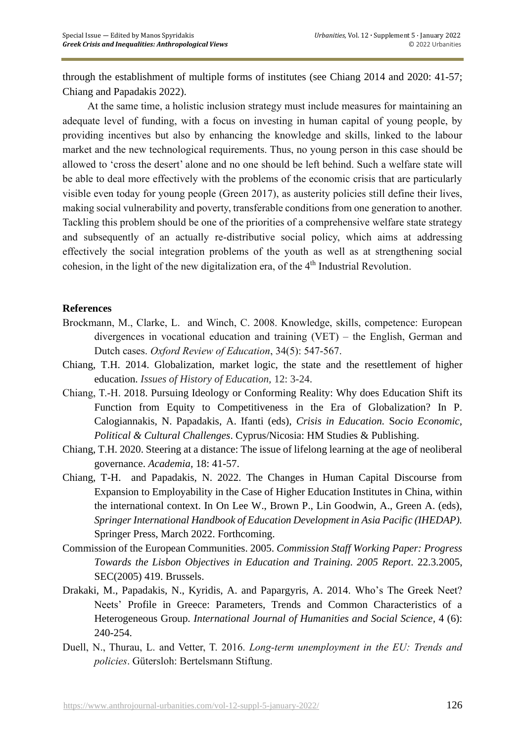through the establishment of multiple forms of institutes (see Chiang 2014 and 2020: 41-57; Chiang and Papadakis 2022).

At the same time, a holistic inclusion strategy must include measures for maintaining an adequate level of funding, with a focus on investing in human capital of young people, by providing incentives but also by enhancing the knowledge and skills, linked to the labour market and the new technological requirements. Thus, no young person in this case should be allowed to 'cross the desert' alone and no one should be left behind. Such a welfare state will be able to deal more effectively with the problems of the economic crisis that are particularly visible even today for young people (Green 2017), as austerity policies still define their lives, making social vulnerability and poverty, transferable conditions from one generation to another. Tackling this problem should be one of the priorities of a comprehensive welfare state strategy and subsequently of an actually re-distributive social policy, which aims at addressing effectively the social integration problems of the youth as well as at strengthening social cohesion, in the light of the new digitalization era, of the  $4<sup>th</sup>$  Industrial Revolution.

#### **References**

- Brockmann, M., Clarke, L. and Winch, C. 2008. Knowledge, skills, competence: European divergences in vocational education and training (VET) – the English, German and Dutch cases. *Oxford Review of Education*, 34(5): 547-567.
- Chiang, T.H. 2014. Globalization, market logic, the state and the resettlement of higher education. *Issues of History of Education,* 12: 3-24.
- Chiang, T.-H. 2018. Pursuing Ideology or Conforming Reality: Why does Education Shift its Function from Equity to Competitiveness in the Era of Globalization? In P. Calogiannakis, N. Papadakis, A. Ifanti (eds), *Crisis in Education.* S*ocio Economic, Political & Cultural Challenges*. Cyprus/Nicosia: HM Studies & Publishing.
- Chiang, T.H. 2020. Steering at a distance: The issue of lifelong learning at the age of neoliberal governance. *Academia,* 18: 41-57.
- Chiang, T-H. and Papadakis, N. 2022. The Changes in Human Capital Discourse from Expansion to Employability in the Case of Higher Education Institutes in China, within the international context. In On Lee W., Brown P., Lin Goodwin, A., Green A. (eds), *Springer International Handbook of Education Development in Asia Pacific (IHEDAP).*  Springer Press, March 2022. Forthcoming.
- Commission of the European Communities. 2005. *Commission Staff Working Paper: Progress Towards the Lisbon Objectives in Education and Training. 2005 Report*. 22.3.2005, SEC(2005) 419. Brussels.
- Drakaki, M., Papadakis, N., Kyridis, A. and Papargyris, A. 2014. Who's The Greek Neet? Neets' Profile in Greece: Parameters, Trends and Common Characteristics of a Heterogeneous Group. *International Journal of Humanities and Social Science,* 4 (6): 240-254.
- Duell, N., Thurau, L. and Vetter, T. 2016. *Long-term unemployment in the EU: Trends and policies*. Gütersloh: Bertelsmann Stiftung.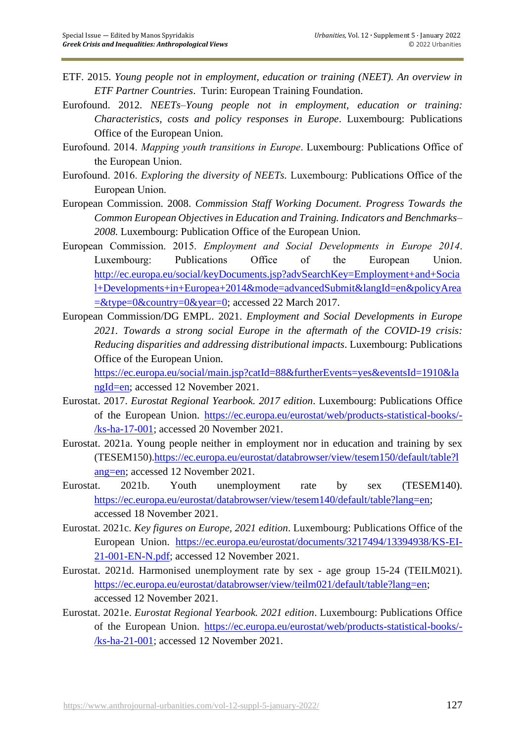- ETF. 2015. *Young people not in employment, education or training (NEET). An overview in ETF Partner Countries*. Turin: European Training Foundation.
- Eurofound. 2012. *NEETs–Young people not in employment, education or training: Characteristics, costs and policy responses in Europe*. Luxembourg: Publications Office of the European Union.
- Eurofound. 2014. *Mapping youth transitions in Europe*. Luxembourg: Publications Office of the European Union.
- Eurofound. 2016. *Exploring the diversity of NEETs.* Luxembourg: Publications Office of the European Union.
- European Commission. 2008. *Commission Staff Working Document. Progress Towards the Common European Objectives in Education and Training. Indicators and Benchmarks– 2008.* Luxembourg: Publication Office of the European Union.
- European Commission. 2015. *Employment and Social Developments in Europe 2014*. Luxembourg: Publications Office of the European Union. [http://ec.europa.eu/social/keyDocuments.jsp?advSearchKey=Employment+and+Socia](http://ec.europa.eu/social/keyDocuments.jsp?advSearchKey=Employment+and+Social+Developments+in+Europea+2014&mode=advancedSubmit&langId=en&policyArea=&type=0&country=0&year=0) [l+Developments+in+Europea+2014&mode=advancedSubmit&langId=en&policyArea](http://ec.europa.eu/social/keyDocuments.jsp?advSearchKey=Employment+and+Social+Developments+in+Europea+2014&mode=advancedSubmit&langId=en&policyArea=&type=0&country=0&year=0)  $\frac{\pm \& \text{type}=0 \& \text{country}=0 \& \text{year}=0;$  accessed 22 March 2017.
- European Commission/DG EMPL. 2021. *Employment and Social Developments in Europe 2021. Towards a strong social Europe in the aftermath of the COVID-19 crisis: Reducing disparities and addressing distributional impacts*. Luxembourg: Publications Office of the European Union.

[https://ec.europa.eu/social/main.jsp?catId=88&furtherEvents=yes&eventsId=1910&la](https://ec.europa.eu/social/main.jsp?catId=88&furtherEvents=yes&eventsId=1910&langId=en) [ngId=en;](https://ec.europa.eu/social/main.jsp?catId=88&furtherEvents=yes&eventsId=1910&langId=en) accessed 12 November 2021.

- Eurostat. 2017. *Eurostat Regional Yearbook. 2017 edition*. Luxembourg: Publications Office of the European Union. [https://ec.europa.eu/eurostat/web/products-statistical-books/-](https://ec.europa.eu/eurostat/web/products-statistical-books/-/ks-ha-17-001) [/ks-ha-17-001;](https://ec.europa.eu/eurostat/web/products-statistical-books/-/ks-ha-17-001) accessed 20 November 2021.
- Eurostat. 2021a. Young people neither in employment nor in education and training by sex (TESEM150)[.https://ec.europa.eu/eurostat/databrowser/view/tesem150/default/table?l](https://ec.europa.eu/eurostat/databrowser/view/tesem150/default/table?lang=en) [ang=en;](https://ec.europa.eu/eurostat/databrowser/view/tesem150/default/table?lang=en) accessed 12 November 2021.
- Eurostat. 2021b. Youth unemployment rate by sex (TESEM140). [https://ec.europa.eu/eurostat/databrowser/view/tesem140/default/table?lang=en;](https://ec.europa.eu/eurostat/databrowser/view/tesem140/default/table?lang=en) accessed 18 November 2021.
- Eurostat. 2021c. *Key figures on Europe, 2021 edition*. Luxembourg: Publications Office of the European Union. [https://ec.europa.eu/eurostat/documents/3217494/13394938/KS-EI-](https://ec.europa.eu/eurostat/documents/3217494/13394938/KS-EI-21-001-EN-N.pdf)[21-001-EN-N.pdf;](https://ec.europa.eu/eurostat/documents/3217494/13394938/KS-EI-21-001-EN-N.pdf) accessed 12 November 2021.
- Eurostat. 2021d. Harmonised unemployment rate by sex age group 15-24 (TEILM021). [https://ec.europa.eu/eurostat/databrowser/view/teilm021/default/table?lang=en;](https://ec.europa.eu/eurostat/databrowser/view/teilm021/default/table?lang=en) accessed 12 November 2021.
- Eurostat. 2021e. *Eurostat Regional Yearbook. 2021 edition*. Luxembourg: Publications Office of the European Union. [https://ec.europa.eu/eurostat/web/products-statistical-books/-](https://ec.europa.eu/eurostat/web/products-statistical-books/-/ks-ha-21-001) [/ks-ha-21-001;](https://ec.europa.eu/eurostat/web/products-statistical-books/-/ks-ha-21-001) accessed 12 November 2021.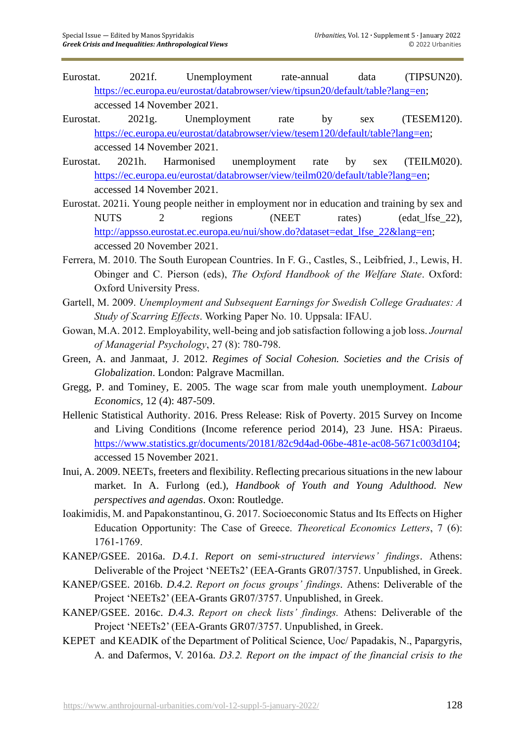- Eurostat. 2021f. Unemployment rate-annual data (TIPSUN20). [https://ec.europa.eu/eurostat/databrowser/view/tipsun20/default/table?lang=en;](https://ec.europa.eu/eurostat/databrowser/view/tipsun20/default/table?lang=en) accessed 14 November 2021.
- Eurostat. 2021g. Unemployment rate by sex (TESEM120). [https://ec.europa.eu/eurostat/databrowser/view/tesem120/default/table?lang=en;](https://ec.europa.eu/eurostat/databrowser/view/tesem120/default/table?lang=en) accessed 14 November 2021.
- Eurostat. 2021h. Harmonised unemployment rate by sex (TEILM020). [https://ec.europa.eu/eurostat/databrowser/view/teilm020/default/table?lang=en;](https://ec.europa.eu/eurostat/databrowser/view/teilm020/default/table?lang=en) accessed 14 November 2021.
- Eurostat. 2021i. Young people neither in employment nor in education and training by sex and NUTS 2 regions (NEET rates) (edat lfse 22), [http://appsso.eurostat.ec.europa.eu/nui/show.do?dataset=edat\\_lfse\\_22&lang=en;](http://appsso.eurostat.ec.europa.eu/nui/show.do?dataset=edat_lfse_22&lang=en) accessed 20 November 2021.
- Ferrera, M. 2010. The South European Countries. In F. G., Castles, S., Leibfried, J., Lewis, H. Obinger and C. Pierson (eds), *The Oxford Handbook of the Welfare State*. Oxford: Oxford University Press.
- Gartell, M. 2009. *Unemployment and Subsequent Earnings for Swedish College Graduates: A Study of Scarring Effects*. Working Paper No. 10. Uppsala: IFAU.
- Gowan, M.A. 2012. Employability, well-being and job satisfaction following a job loss. *Journal of Managerial Psychology*, 27 (8): 780-798.
- Green, A. and Janmaat, J. 2012. *Regimes of Social Cohesion. Societies and the Crisis of Globalization*. London: Palgrave Macmillan.
- Gregg, P. and Tominey, E. 2005. The wage scar from male youth unemployment. *Labour Economics,* 12 (4): 487-509.
- Hellenic Statistical Authority. 2016. Press Release: Risk of Poverty. 2015 Survey on Income and Living Conditions (Income reference period 2014), 23 June. HSA: Piraeus. [https://www.statistics.gr/documents/20181/82c9d4ad-06be-481e-ac08-5671c003d104;](https://www.statistics.gr/documents/20181/82c9d4ad-06be-481e-ac08-5671c003d104) accessed 15 November 2021.
- Inui, A. 2009. NEETs, freeters and flexibility. Reflecting precarious situations in the new labour market. In A. Furlong (ed.), *Handbook of Youth and Young Adulthood. New perspectives and agendas*. Oxon: Routledge.
- Ioakimidis, M. and Papakonstantinou, G. 2017. Socioeconomic Status and Its Effects on Higher Education Opportunity: The Case of Greece. *Theoretical Economics Letters*, 7 (6): 1761-1769.
- KANEP/GSEE. 2016a. *D.4.1. Report on semi-structured interviews' findings*. Athens: Deliverable of the Project 'NEETs2' (EEA-Grants GR07/3757. Unpublished, in Greek.
- KANEP/GSEE. 2016b. *D.4.2. Report on focus groups' findings.* Athens: Deliverable of the Project 'NEETs2' (EEA-Grants GR07/3757. Unpublished, in Greek.
- KANEP/GSEE. 2016c. *D.4.3. Report on check lists' findings.* Athens: Deliverable of the Project 'NEETs2' (EEA-Grants GR07/3757. Unpublished, in Greek.
- KEPET and KEADIK of the Department of Political Science, Uoc/ Papadakis, N., Papargyris, A. and Dafermos, V. 2016a. *D3.2. Report on the impact of the financial crisis to the*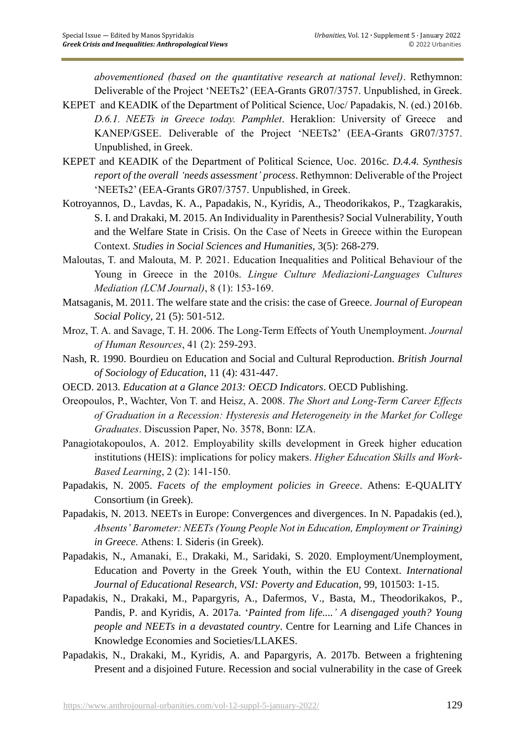*abovementioned (based on the quantitative research at national level)*. Rethymnon: Deliverable of the Project 'NEETs2' (EEA-Grants GR07/3757. Unpublished, in Greek.

- KEPET and KEADIK of the Department of Political Science, Uoc/ Papadakis, N. (ed.) 2016b. *D.6.1. NEETs in Greece today. Pamphlet*. Heraklion: University of Greece and KANEP/GSEE. Deliverable of the Project 'NEETs2' (EEA-Grants GR07/3757. Unpublished, in Greek.
- KEPET and KEADIK of the Department of Political Science, Uoc. 2016c. *D.4.4. Synthesis report of the overall 'needs assessment' process*. Rethymnon: Deliverable of the Project 'NEETs2' (EEA-Grants GR07/3757. Unpublished, in Greek.
- Kotroyannos, D., Lavdas, K. A., Papadakis, N., Kyridis, A., Theodorikakos, P., Tzagkarakis, S. I. and Drakaki, M. 2015. An Individuality in Parenthesis? Social Vulnerability, Youth and the Welfare State in Crisis. On the Case of Neets in Greece within the European Context. *Studies in Social Sciences and Humanities,* 3(5): 268-279.
- Maloutas, T. and Malouta, M. P. 2021. Education Inequalities and Political Behaviour of the Young in Greece in the 2010s. *Lingue Culture Mediazioni-Languages Cultures Mediation (LCM Journal)*, 8 (1): 153-169.
- Matsaganis, M. 2011. The welfare state and the crisis: the case of Greece. *Journal of European Social Policy*, 21 (5): 501-512.
- Mroz, T. A. and Savage, T. H. 2006. The Long-Term Effects of Youth Unemployment. *Journal of Human Resources*, 41 (2): 259-293.
- Nash, R. 1990. Bourdieu on Education and Social and Cultural Reproduction. *British Journal of Sociology of Education*, 11 (4): 431-447.
- OECD. 2013. *Education at a Glance 2013: OECD Indicators*. OECD Publishing.
- Oreopoulos, P., Wachter, Von T. and Heisz, A. 2008. *The Short and Long-Term Career Effects of Graduation in a Recession: Hysteresis and Heterogeneity in the Market for College Graduates*. Discussion Paper, No. 3578, Bonn: IZA.
- Panagiotakopoulos, A. 2012. Employability skills development in Greek higher education institutions (HEIS): implications for policy makers. *Higher Education Skills and Work-Based Learning*, 2 (2): 141-150.
- Papadakis, N. 2005. *Facets of the employment policies in Greece*. Athens: E-QUALITY Consortium (in Greek).
- Papadakis, N. 2013. NEETs in Europe: Convergences and divergences. In N. Papadakis (ed.), *Absents' Barometer: NEETs (Young People Not in Education, Employment or Training) in Greece*. Athens: Ι. Sideris (in Greek).
- Papadakis, N., Amanaki, Ε., Drakaki, M., Saridaki, S. 2020. Employment/Unemployment, Education and Poverty in the Greek Youth, within the EU Context. *International Journal of Educational Research, VSI: Poverty and Education,* 99, 101503: 1-15.
- Papadakis, N., Drakaki, M., Papargyris, A., Dafermos, V., Basta, M., Theodorikakos, P., Pandis, P. and Kyridis, A. 2017a. '*Painted from life....' A disengaged youth? Young people and NEETs in a devastated country*. Centre for Learning and Life Chances in Knowledge Economies and Societies/LLAKES.
- Papadakis, N., Drakaki, M., Kyridis, A. and Papargyris, A. 2017b. Between a frightening Present and a disjoined Future. Recession and social vulnerability in the case of Greek